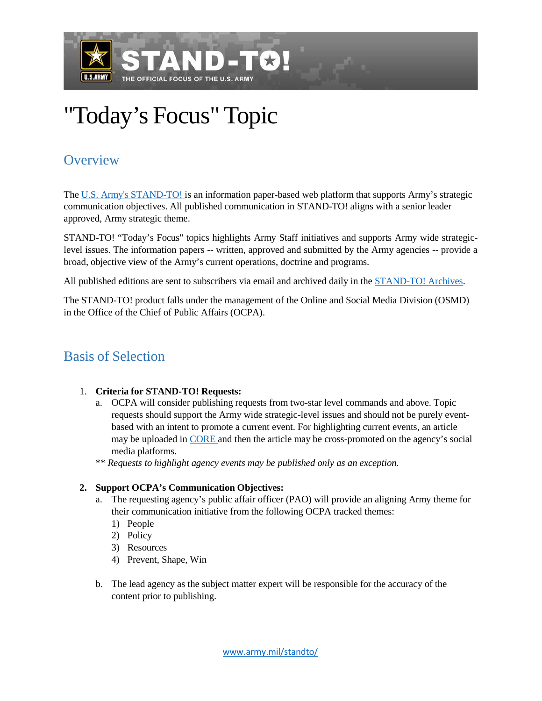

# "Today's Focus" Topic

# **Overview**

The U.S. Army's STAND-TO! is an information paper-based web platform that supports Army's strategic communication objectives. All published communication in STAND-TO! aligns with a senior leader approved, Army strategic theme.

STAND-TO! "Today's Focus" topics highlights Army Staff initiatives and supports Army wide strategiclevel issues. The information papers -- written, approved and submitted by the Army agencies -- provide a broad, objective view of the Army's current operations, doctrine and programs.

All published editions are sent to subscribers via email and archived daily in the [STAND-TO!](http://www.army.mil/standto/archive/) Archives.

The STAND-TO! product falls under the management of the Online and Social Media Division (OSMD) in the Office of the Chief of Public Affairs (OCPA).

## Basis of Selection

#### 1. **Criteria for STAND-TO! Requests:**

- a. OCPA will consider publishing requests from two-star level commands and above. Topic requests should support the Army wide strategic-level issues and should not be purely eventbased with an intent to promote a current event. For highlighting current events, an article may be uploaded in [CORE](http://www.army.mil/core/) and then the article may be cross-promoted on the agency's social media platforms.
- \*\* *Requests to highlight agency events may be published only as an exception.*

#### **2. Support OCPA's Communication Objectives:**

- a. The requesting agency's public affair officer (PAO) will provide an aligning Army theme for their communication initiative from the following OCPA tracked themes:
	- 1) People
	- 2) Policy
	- 3) Resources
	- 4) Prevent, Shape, Win
- b. The lead agency as the subject matter expert will be responsible for the accuracy of the content prior to publishing.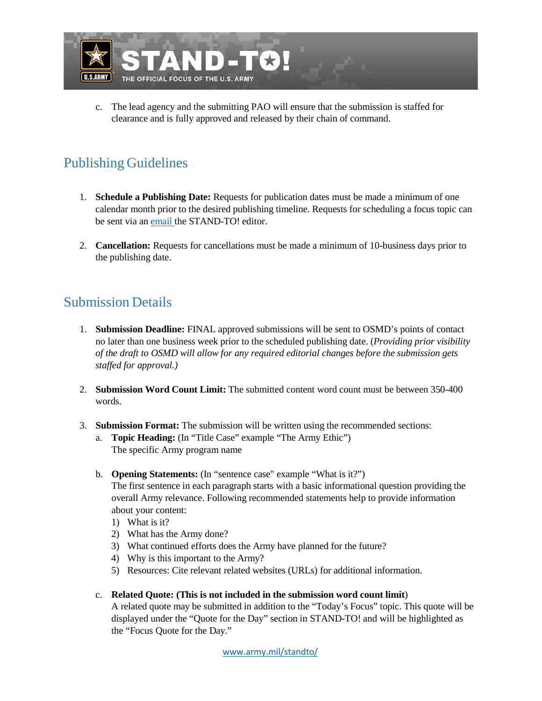

c. The lead agency and the submitting PAO will ensure that the submission is staffed for clearance and is fully approved and released by their chain of command.

# Publishing Guidelines

- 1. **Schedule a Publishing Date:** Requests for publication dates must be made a minimum of one calendar month prior to the desired publishing timeline. Requests for scheduling a focus topic can be sent via an [email](mailto:usarmy.pentagon.hqda-ocpa.mbx.stand-to@mail.mil) the STAND-TO! editor.
- 2. **Cancellation:** Requests for cancellations must be made a minimum of 10-business days prior to the publishing date.

## Submission Details

- 1. **Submission Deadline:** FINAL approved submissions will be sent to OSMD's points of contact no later than one business week prior to the scheduled publishing date. (*Providing prior visibility of the draft to OSMD will allow for any required editorial changes before the submission gets staffed for approval.)*
- 2. **Submission Word Count Limit:** The submitted content word count must be between 350-400 words.
- 3. **Submission Format:** The submission will be written using the recommended sections:
	- a. **Topic Heading:** (In "Title Case" example "The Army Ethic") The specific Army program name
	- b. **Opening Statements:** (In "sentence case" example "What is it?")

The first sentence in each paragraph starts with a basic informational question providing the overall Army relevance. Following recommended statements help to provide information about your content:

- 1) What is it?
- 2) What has the Army done?
- 3) What continued efforts does the Army have planned for the future?
- 4) Why is this important to the Army?
- 5) Resources: Cite relevant related websites (URLs) for additional information.
- c. **Related Quote: (This is not included in the submission word count limit**)

A related quote may be submitted in addition to the "Today's Focus" topic. This quote will be displayed under the "Quote for the Day" section in STAND-TO! and will be highlighted as the "Focus Quote for the Day."